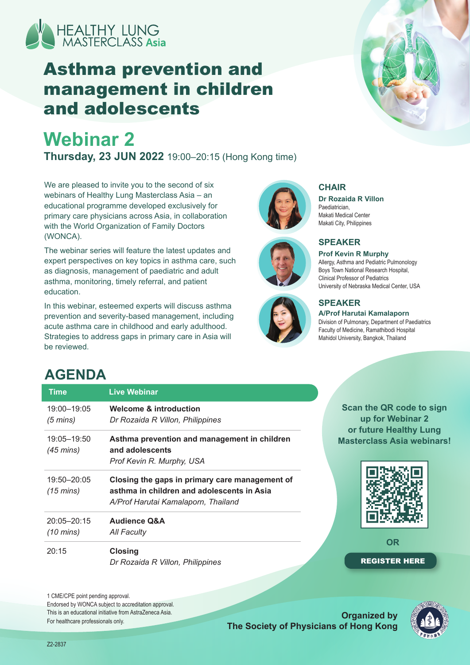

## Asthma prevention and management in children and adolescents

# **Webinar 2**

**Thursday, 23 JUN 2022** 19:00–20:15 (Hong Kong time)

We are pleased to invite you to the second of six webinars of Healthy Lung Masterclass Asia – an educational programme developed exclusively for primary care physicians across Asia, in collaboration with the World Organization of Family Doctors (WONCA).

The webinar series will feature the latest updates and expert perspectives on key topics in asthma care, such as diagnosis, management of paediatric and adult asthma, monitoring, timely referral, and patient education.

In this webinar, esteemed experts will discuss asthma prevention and severity-based management, including acute asthma care in childhood and early adulthood. Strategies to address gaps in primary care in Asia will be reviewed.







### **CHAIR**

**Dr Rozaida R Villon Paediatrician** Makati Medical Center Makati City, Philippines



#### **Prof Kevin R Murphy**

Allergy, Asthma and Pediatric Pulmonology Boys Town National Research Hospital, Clinical Professor of Pediatrics University of Nebraska Medical Center, USA

### **SPEAKER**

**A/Prof Harutai Kamalaporn**  Division of Pulmonary, Department of Paediatrics Faculty of Medicine, Ramathibodi Hospital Mahidol University, Bangkok, Thailand

> **Scan the QR code to sign up for Webinar 2 or future Healthy Lung Masterclass Asia webinars!**

> > **OR**

[REGISTER HERE](https://healthylungmasterclassasia.mimsit.net/webinar2_live.html)

### **AGENDA**

| <b>Time</b>                        | Live Webinar                                                                                                                        |
|------------------------------------|-------------------------------------------------------------------------------------------------------------------------------------|
| 19:00-19:05<br>$(5 \text{ mins})$  | Welcome & introduction<br>Dr Rozaida R Villon, Philippines                                                                          |
| 19:05-19:50<br>$(45 \text{ mins})$ | Asthma prevention and management in children<br>and adolescents<br>Prof Kevin R. Murphy, USA                                        |
| 19:50-20:05<br>$(15 \text{ mins})$ | Closing the gaps in primary care management of<br>asthma in children and adolescents in Asia<br>A/Prof Harutai Kamalaporn, Thailand |
| 20:05-20:15<br>$(10 \text{ mins})$ | <b>Audience Q&amp;A</b><br>All Faculty                                                                                              |
| 20:15                              | <b>Closing</b><br>Dr Rozaida R Villon, Philippines                                                                                  |

1 CME/CPE point pending approval. Endorsed by WONCA subject to accreditation approval. This is an educational initiative from AstraZeneca Asia. For healthcare professionals only.

**Organized by The Society of Physicians of Hong Kong**